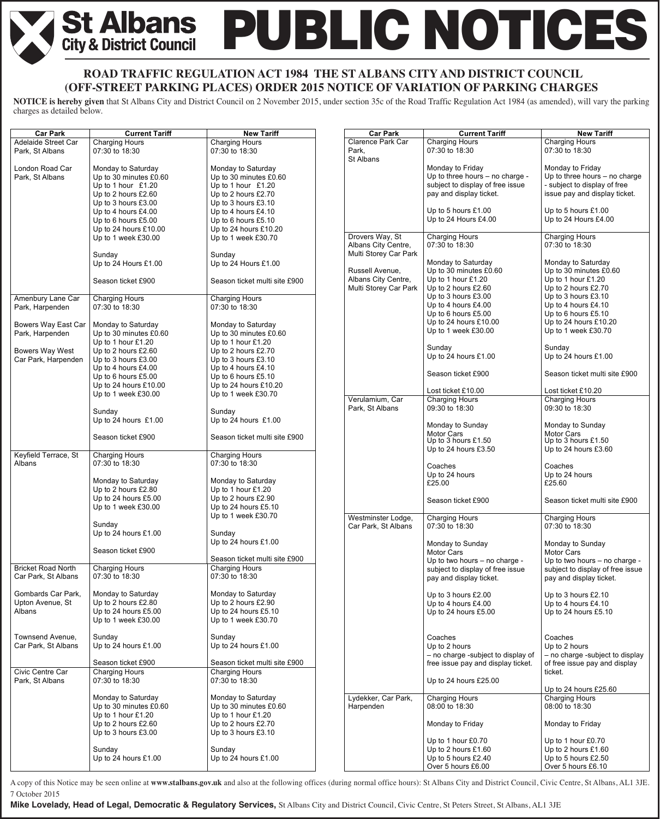# **PUBLIC NOTICES St Albans**<br>City & District Council

## **ROAD TRAFFIC REGULATION ACT 1984 THE ST ALBANS CITY AND DISTRICT COUNCIL T (OFF-STREET PARKING PLACES) ORDER 2015 NOTICE OF VARIATION OF PARKING CHARGES**

**NOTICE is hereby given** that St Albans City and District Council on 2 November 2015, under section 35c of the Road Traffic Regulation Act 1984 (as amended), will vary the parking charges as detailed below.

| <b>Car Park</b>                        | <b>Current Tariff</b>                        | <b>New Tariff</b>                            | <b>Car Park</b>       | <b>Current Tariff</b>                      | <b>New Tariff</b>                          |
|----------------------------------------|----------------------------------------------|----------------------------------------------|-----------------------|--------------------------------------------|--------------------------------------------|
| Adelaide Street Car                    | <b>Charging Hours</b>                        | <b>Charging Hours</b>                        | Clarence Park Car     | <b>Charging Hours</b>                      | Charging Hours                             |
| Park, St Albans                        | 07:30 to 18:30                               | 07:30 to 18:30                               | Park,                 | 07:30 to 18:30                             | 07:30 to 18:30                             |
|                                        |                                              |                                              | St Albans             |                                            |                                            |
| London Road Car                        | Monday to Saturday                           | Monday to Saturday                           |                       | Monday to Friday                           | Monday to Friday                           |
| Park, St Albans                        | Up to 30 minutes £0.60                       | Up to 30 minutes £0.60                       |                       | Up to three hours - no charge -            | Up to three hours - no charge              |
|                                        | Up to 1 hour $£1.20$                         | Up to 1 hour $£1.20$                         |                       | subject to display of free issue           | - subject to display of free               |
|                                        | Up to 2 hours £2.60                          | Up to 2 hours £2.70                          |                       | pay and display ticket.                    | issue pay and display ticket.              |
|                                        | Up to 3 hours £3.00                          | Up to 3 hours £3.10                          |                       | Up to 5 hours £1.00                        | Up to 5 hours £1.00                        |
|                                        | Up to 4 hours £4.00<br>Up to 6 hours £5.00   | Up to 4 hours £4.10<br>Up to 6 hours £5.10   |                       | Up to 24 Hours £4.00                       | Up to 24 Hours £4.00                       |
|                                        | Up to 24 hours £10.00                        | Up to 24 hours £10.20                        |                       |                                            |                                            |
|                                        | Up to 1 week £30.00                          | Up to 1 week £30.70                          | Drovers Way, St       | <b>Charging Hours</b>                      | <b>Charging Hours</b>                      |
|                                        |                                              |                                              | Albans City Centre,   | 07:30 to 18:30                             | 07:30 to 18:30                             |
|                                        | Sunday                                       | Sunday                                       | Multi Storey Car Park |                                            |                                            |
|                                        | Up to 24 Hours £1.00                         | Up to 24 Hours £1.00                         |                       | Monday to Saturday                         | Monday to Saturday                         |
|                                        |                                              |                                              | Russell Avenue,       | Up to 30 minutes £0.60                     | Up to 30 minutes £0.60                     |
|                                        | Season ticket £900                           | Season ticket multi site £900                | Albans City Centre,   | Up to 1 hour £1.20                         | Up to 1 hour $£1.20$                       |
|                                        |                                              |                                              | Multi Storey Car Park | Up to 2 hours £2.60                        | Up to 2 hours £2.70                        |
| Amenbury Lane Car                      | <b>Charging Hours</b>                        | <b>Charging Hours</b>                        |                       | Up to 3 hours £3.00<br>Up to 4 hours £4.00 | Up to 3 hours £3.10<br>Up to 4 hours £4.10 |
| Park, Harpenden                        | 07:30 to 18:30                               | 07:30 to 18:30                               |                       | Up to 6 hours £5.00                        | Up to 6 hours £5.10                        |
|                                        |                                              |                                              |                       | Up to 24 hours £10.00                      | Up to 24 hours £10.20                      |
| Bowers Way East Car<br>Park, Harpenden | Monday to Saturday<br>Up to 30 minutes £0.60 | Monday to Saturday<br>Up to 30 minutes £0.60 |                       | Up to 1 week £30.00                        | Up to 1 week £30.70                        |
|                                        | Up to 1 hour £1.20                           | Up to 1 hour $£1.20$                         |                       |                                            |                                            |
| Bowers Way West                        | Up to 2 hours £2.60                          | Up to 2 hours £2.70                          |                       | Sunday                                     | Sunday                                     |
| Car Park, Harpenden                    | Up to 3 hours £3.00                          | Up to 3 hours £3.10                          |                       | Up to 24 hours £1.00                       | Up to 24 hours £1.00                       |
|                                        | Up to 4 hours £4.00                          | Up to 4 hours £4.10                          |                       |                                            |                                            |
|                                        | Up to 6 hours £5.00                          | Up to 6 hours £5.10                          |                       | Season ticket £900                         | Season ticket multi site £900              |
|                                        | Up to 24 hours £10.00                        | Up to 24 hours £10.20                        |                       | Lost ticket £10.00                         | Lost ticket £10.20                         |
|                                        | Up to 1 week £30.00                          | Up to 1 week £30.70                          | Verulamium, Car       | <b>Charging Hours</b>                      | <b>Charging Hours</b>                      |
|                                        |                                              |                                              | Park, St Albans       | 09:30 to 18:30                             | 09:30 to 18:30                             |
|                                        | Sunday                                       | Sunday                                       |                       |                                            |                                            |
|                                        | Up to 24 hours £1.00                         | Up to 24 hours £1.00                         |                       | Monday to Sunday                           | Monday to Sunday                           |
|                                        | Season ticket £900                           | Season ticket multi site £900                |                       | <b>Motor Cars</b>                          | <b>Motor Cars</b>                          |
|                                        |                                              |                                              |                       | Up to 3 hours £1.50                        | Up to 3 hours £1.50                        |
| Keyfield Terrace, St                   | <b>Charging Hours</b>                        | <b>Charging Hours</b>                        |                       | Up to 24 hours £3.50                       | Up to 24 hours £3.60                       |
| Albans                                 | 07:30 to 18:30                               | 07:30 to 18:30                               |                       | Coaches                                    | Coaches                                    |
|                                        |                                              |                                              |                       | Up to 24 hours                             | Up to 24 hours                             |
|                                        | Monday to Saturday                           | Monday to Saturday                           |                       | £25.00                                     | £25.60                                     |
|                                        | Up to 2 hours £2.80                          | Up to 1 hour $£1.20$                         |                       |                                            |                                            |
|                                        | Up to 24 hours £5.00                         | Up to 2 hours £2.90                          |                       | Season ticket £900                         | Season ticket multi site £900              |
|                                        | Up to 1 week £30.00                          | Up to 24 hours £5.10                         |                       |                                            |                                            |
|                                        | Sunday                                       | Up to 1 week £30.70                          | Westminster Lodge,    | <b>Charging Hours</b>                      | <b>Charging Hours</b>                      |
|                                        | Up to 24 hours $£1.00$                       | Sunday                                       | Car Park. St Albans   | 07:30 to 18:30                             | 07:30 to 18:30                             |
|                                        |                                              | Up to 24 hours £1.00                         |                       | Monday to Sunday                           | Monday to Sunday                           |
|                                        | Season ticket £900                           |                                              |                       | <b>Motor Cars</b>                          | Motor Cars                                 |
|                                        |                                              | Season ticket multi site £900                |                       | Up to two hours - no charge -              | Up to two hours - no charge -              |
| <b>Bricket Road North</b>              | <b>Charging Hours</b>                        | <b>Charging Hours</b>                        |                       | subject to display of free issue           | subject to display of free issue           |
| Car Park. St Albans                    | 07:30 to 18:30                               | 07:30 to 18:30                               |                       | pay and display ticket.                    | pay and display ticket.                    |
|                                        |                                              |                                              |                       |                                            |                                            |
| Gombards Car Park,                     | Monday to Saturday                           | Monday to Saturday                           |                       | Up to 3 hours £2.00                        | Up to 3 hours £2.10                        |
| Upton Avenue, St                       | Up to 2 hours £2.80<br>Up to 24 hours £5.00  | Up to 2 hours £2.90                          |                       | Up to 4 hours £4.00                        | Up to 4 hours £4.10                        |
| Albans                                 | Up to 1 week £30.00                          | Up to 24 hours £5.10<br>Up to 1 week £30.70  |                       | Up to 24 hours £5.00                       | Up to 24 hours £5.10                       |
|                                        |                                              |                                              |                       |                                            |                                            |
| Townsend Avenue,                       | Sunday                                       | Sunday                                       |                       | Coaches                                    | Coaches                                    |
| Car Park, St Albans                    | Up to 24 hours £1.00                         | Up to 24 hours £1.00                         |                       | Up to 2 hours                              | Up to 2 hours                              |
|                                        |                                              |                                              |                       | - no charge -subject to display of         | - no charge -subject to display            |
|                                        | Season ticket £900                           | Season ticket multi site £900                |                       | free issue pay and display ticket.         | of free issue pay and display              |
| Civic Centre Car                       | <b>Charging Hours</b>                        | Charging Hours                               |                       |                                            | ticket.                                    |
| Park, St Albans                        | 07:30 to 18:30                               | 07:30 to 18:30                               |                       | Up to 24 hours £25.00                      | Up to 24 hours £25.60                      |
|                                        | Monday to Saturday                           | Monday to Saturday                           | Lydekker, Car Park,   | <b>Charging Hours</b>                      | <b>Charging Hours</b>                      |
|                                        | Up to 30 minutes £0.60                       | Up to 30 minutes £0.60                       | Harpenden             | 08:00 to 18:30                             | 08:00 to 18:30                             |
|                                        | Up to 1 hour £1.20                           | Up to 1 hour £1.20                           |                       |                                            |                                            |
|                                        | Up to 2 hours £2.60                          | Up to 2 hours £2.70                          |                       | Monday to Friday                           | Monday to Friday                           |
|                                        | Up to 3 hours £3.00                          | Up to 3 hours £3.10                          |                       |                                            |                                            |
|                                        | Sunday                                       | Sunday                                       |                       | Up to 1 hour £0.70<br>Up to 2 hours £1.60  | Up to 1 hour £0.70<br>Up to 2 hours £1.60  |
|                                        | Up to 24 hours £1.00                         | Up to 24 hours £1.00                         |                       | Up to 5 hours £2.40                        | Up to 5 hours £2.50                        |
|                                        |                                              |                                              |                       | Over 5 hours £6.00                         | Over 5 hours £6.10                         |

 A copy of this Notice may be seen online at **www.stalbans.gov.uk** and also at the following offices (during normal office hours): St Albans City and District Council, Civic Centre, St Albans, AL1 3JE. 7 October 2015

**Mike Lovelady, Head of Legal, Democratic & Regulatory Services,** St Albans City and District Council, Civic Centre, St Peters Street, St Albans, AL1 3JE